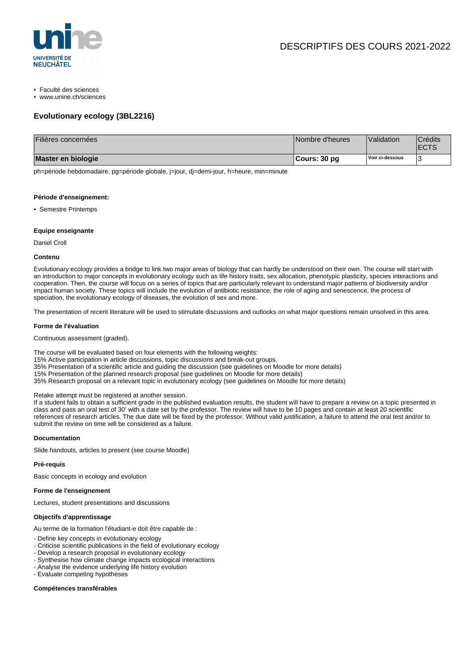

- Faculté des sciences
- www.unine.ch/sciences

### **Evolutionary ecology (3BL2216)**

| Filières concernées | Nombre d'heures | Validation      | <sup>'</sup> Crédits<br><b>ECTS</b> |
|---------------------|-----------------|-----------------|-------------------------------------|
| Master en biologie  | ∣Cours: 30 pq   | Voir ci-dessous |                                     |

ph=période hebdomadaire, pg=période globale, j=jour, dj=demi-jour, h=heure, min=minute

#### **Période d'enseignement:**

• Semestre Printemps

#### **Equipe enseignante**

Daniel Croll

#### **Contenu**

Evolutionary ecology provides a bridge to link two major areas of biology that can hardly be understood on their own. The course will start with an introduction to major concepts in evolutionary ecology such as life history traits, sex allocation, phenotypic plasticity, species interactions and cooperation. Then, the course will focus on a series of topics that are particularly relevant to understand major patterns of biodiversity and/or impact human society. These topics will include the evolution of antibiotic resistance, the role of aging and senescence, the process of speciation, the evolutionary ecology of diseases, the evolution of sex and more.

The presentation of recent literature will be used to stimulate discussions and outlooks on what major questions remain unsolved in this area.

#### **Forme de l'évaluation**

Continuous assessment (graded).

The course will be evaluated based on four elements with the following weights:

- 15% Active participation in article discussions, topic discussions and break-out groups.
- 35% Presentation of a scientific article and guiding the discussion (see guidelines on Moodle for more details)

15% Presentation of the planned research proposal (see guidelines on Moodle for more details)

35% Research proposal on a relevant topic in evolutionary ecology (see guidelines on Moodle for more details)

Retake attempt must be registered at another session.

If a student fails to obtain a sufficient grade in the published evaluation results, the student will have to prepare a review on a topic presented in class and pass an oral test of 30' with a date set by the professor. The review will have to be 10 pages and contain at least 20 scientific references of research articles. The due date will be fixed by the professor. Without valid justification, a failure to attend the oral test and/or to submit the review on time will be considered as a failure.

#### **Documentation**

Slide handouts, articles to present (see course Moodle)

#### **Pré-requis**

Basic concepts in ecology and evolution

#### **Forme de l'enseignement**

Lectures, student presentations and discussions

#### **Objectifs d'apprentissage**

Au terme de la formation l'étudiant-e doit être capable de :

- Define key concepts in evolutionary ecology
- Criticise scientific publications in the field of evolutionary ecology
- Develop a research proposal in evolutionary ecology
- Synthesise how climate change impacts ecological interactions
- Analyse the evidence underlying life history evolution
- Evaluate competing hypotheses

### **Compétences transférables**